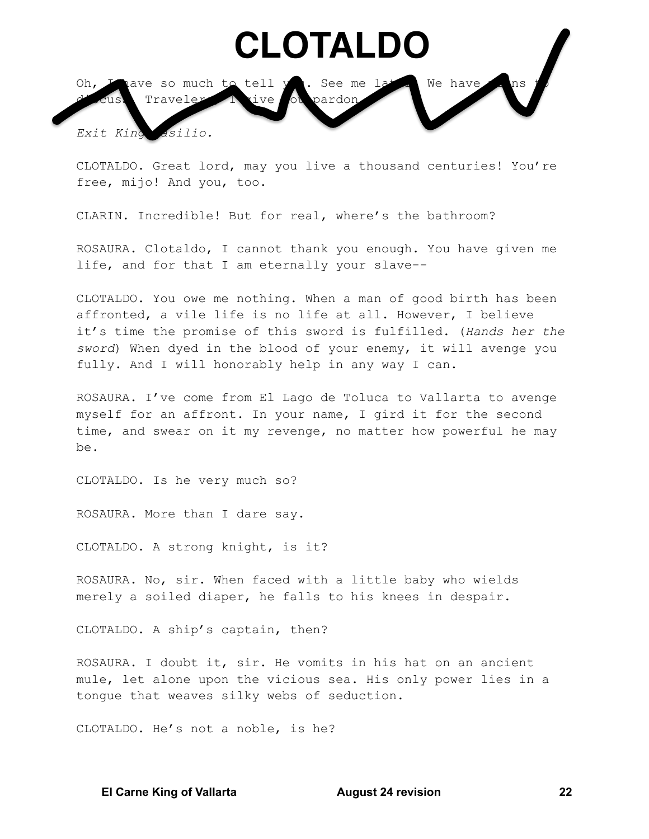## CLOTALDO



CLOTALDO. Great lord, may you live a thousand centuries! You're free, mijo! And you, too.

CLARIN. Incredible! But for real, where's the bathroom?

ROSAURA. Clotaldo, I cannot thank you enough. You have given me life, and for that I am eternally your slave--

CLOTALDO. You owe me nothing. When a man of good birth has been affronted, a vile life is no life at all. However, I believe it's time the promise of this sword is fulfilled. (Hands her the sword) When dyed in the blood of your enemy, it will avenge you fully. And I will honorably help in any way I can.

ROSAURA. I've come from El Lago de Toluca to Vallarta to avenge myself for an affront. In your name, I gird it for the second time, and swear on it my revenge, no matter how powerful he may be.

CLOTALDO. Is he very much so?

ROSAURA. More than I dare say.

CLOTALDO. A strong knight, is it?

ROSAURA. No, sir. When faced with a little baby who wields merely a soiled diaper, he falls to his knees in despair.

CLOTALDO. A ship's captain, then?

ROSAURA. I doubt it, sir. He vomits in his hat on an ancient mule, let alone upon the vicious sea. His only power lies in a tongue that weaves silky webs of seduction.

CLOTALDO. He's not a noble, is he?

**El Carne King of Vallarta** 

**August 24 revision**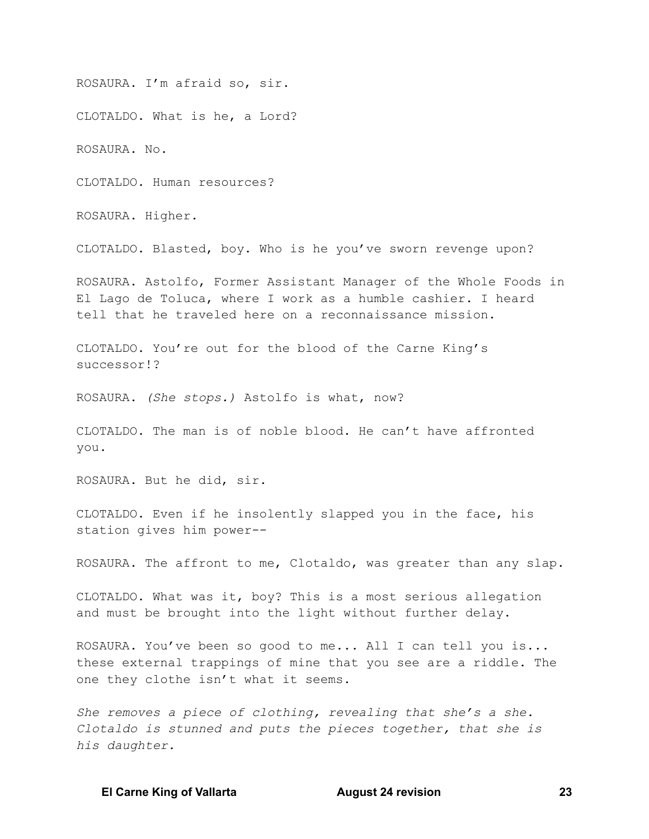ROSAURA. I'm afraid so, sir.

CLOTALDO. What is he, a Lord?

ROSAURA. No.

CLOTALDO, Human resources?

ROSAURA. Higher.

CLOTALDO. Blasted, boy. Who is he you've sworn revenge upon?

ROSAURA. Astolfo, Former Assistant Manager of the Whole Foods in El Lago de Toluca, where I work as a humble cashier. I heard tell that he traveled here on a reconnaissance mission.

CLOTALDO. You're out for the blood of the Carne King's successor!?

ROSAURA. (She stops.) Astolfo is what, now?

CLOTALDO. The man is of noble blood. He can't have affronted you.

ROSAURA. But he did, sir.

CLOTALDO. Even if he insolently slapped you in the face, his station gives him power--

ROSAURA. The affront to me, Clotaldo, was greater than any slap.

CLOTALDO. What was it, boy? This is a most serious allegation and must be brought into the light without further delay.

ROSAURA. You've been so good to me... All I can tell you is... these external trappings of mine that you see are a riddle. The one they clothe isn't what it seems.

She removes a piece of clothing, revealing that she's a she. Clotaldo is stunned and puts the pieces together, that she is his daughter.

**El Carne King of Vallarta** 

**August 24 revision**